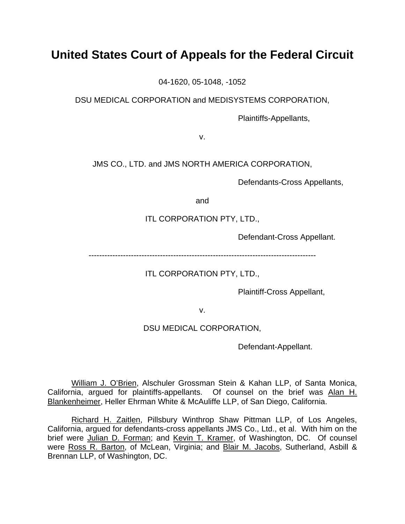# **United States Court of Appeals for the Federal Circuit**

04-1620, 05-1048, -1052

## DSU MEDICAL CORPORATION and MEDISYSTEMS CORPORATION,

Plaintiffs-Appellants,

v.

## JMS CO., LTD. and JMS NORTH AMERICA CORPORATION,

Defendants-Cross Appellants,

and

## ITL CORPORATION PTY, LTD.,

Defendant-Cross Appellant.

--------------------------------------------------------------------------------------

ITL CORPORATION PTY, LTD.,

Plaintiff-Cross Appellant,

v.

## DSU MEDICAL CORPORATION,

Defendant-Appellant.

 William J. O'Brien, Alschuler Grossman Stein & Kahan LLP, of Santa Monica, California, argued for plaintiffs-appellants. Of counsel on the brief was Alan H. Blankenheimer, Heller Ehrman White & McAuliffe LLP, of San Diego, California.

Richard H. Zaitlen, Pillsbury Winthrop Shaw Pittman LLP, of Los Angeles, California, argued for defendants-cross appellants JMS Co., Ltd., et al. With him on the brief were Julian D. Forman; and Kevin T. Kramer, of Washington, DC. Of counsel were Ross R. Barton, of McLean, Virginia; and Blair M. Jacobs, Sutherland, Asbill & Brennan LLP, of Washington, DC.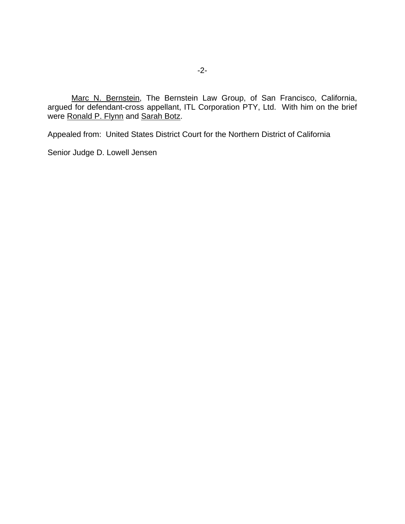Marc N. Bernstein, The Bernstein Law Group, of San Francisco, California, argued for defendant-cross appellant, ITL Corporation PTY, Ltd. With him on the brief were Ronald P. Flynn and Sarah Botz.

Appealed from: United States District Court for the Northern District of California

Senior Judge D. Lowell Jensen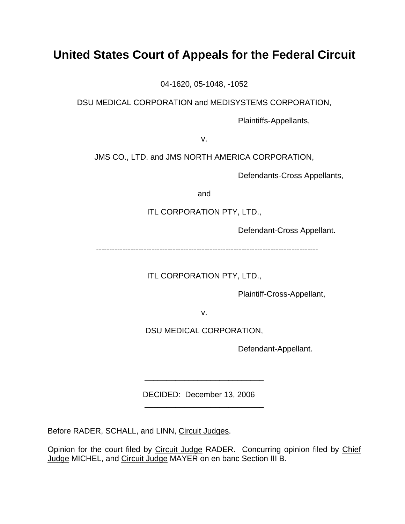# **United States Court of Appeals for the Federal Circuit**

04-1620, 05-1048, -1052

DSU MEDICAL CORPORATION and MEDISYSTEMS CORPORATION,

Plaintiffs-Appellants,

v.

JMS CO., LTD. and JMS NORTH AMERICA CORPORATION,

Defendants-Cross Appellants,

and

## ITL CORPORATION PTY, LTD.,

Defendant-Cross Appellant.

------------------------------------------------------------------------------------

ITL CORPORATION PTY, LTD.,

Plaintiff-Cross-Appellant,

v.

DSU MEDICAL CORPORATION,

Defendant-Appellant.

DECIDED: December 13, 2006

\_\_\_\_\_\_\_\_\_\_\_\_\_\_\_\_\_\_\_\_\_\_\_\_\_\_\_

\_\_\_\_\_\_\_\_\_\_\_\_\_\_\_\_\_\_\_\_\_\_\_\_\_\_\_

Before RADER, SCHALL, and LINN, Circuit Judges.

Opinion for the court filed by Circuit Judge RADER. Concurring opinion filed by Chief Judge MICHEL, and Circuit Judge MAYER on en banc Section III B.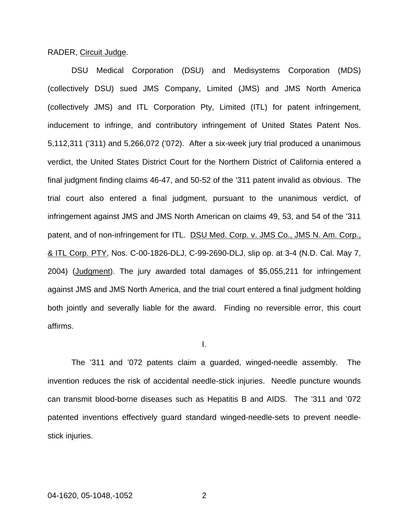#### RADER, Circuit Judge.

DSU Medical Corporation (DSU) and Medisystems Corporation (MDS) (collectively DSU) sued JMS Company, Limited (JMS) and JMS North America (collectively JMS) and ITL Corporation Pty, Limited (ITL) for patent infringement, inducement to infringe, and contributory infringement of United States Patent Nos. 5,112,311 ('311) and 5,266,072 ('072). After a six-week jury trial produced a unanimous verdict, the United States District Court for the Northern District of California entered a final judgment finding claims 46-47, and 50-52 of the '311 patent invalid as obvious. The trial court also entered a final judgment, pursuant to the unanimous verdict, of infringement against JMS and JMS North American on claims 49, 53, and 54 of the '311 patent, and of non-infringement for ITL. DSU Med. Corp. v. JMS Co., JMS N. Am. Corp., & ITL Corp. PTY, Nos. C-00-1826-DLJ, C-99-2690-DLJ, slip op. at 3-4 (N.D. Cal. May 7, 2004) (Judgment). The jury awarded total damages of \$5,055,211 for infringement against JMS and JMS North America, and the trial court entered a final judgment holding both jointly and severally liable for the award. Finding no reversible error, this court affirms.

#### I.

The '311 and '072 patents claim a guarded, winged-needle assembly. The invention reduces the risk of accidental needle-stick injuries. Needle puncture wounds can transmit blood-borne diseases such as Hepatitis B and AIDS. The '311 and '072 patented inventions effectively guard standard winged-needle-sets to prevent needlestick injuries.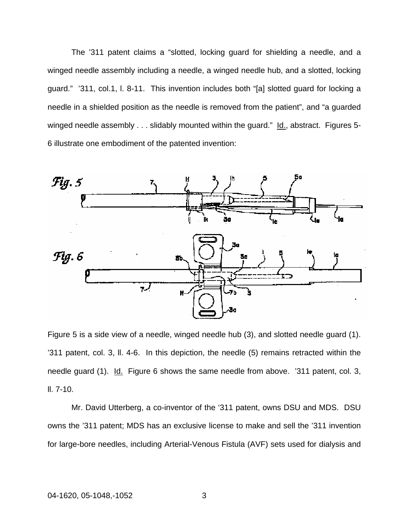The '311 patent claims a "slotted, locking guard for shielding a needle, and a winged needle assembly including a needle, a winged needle hub, and a slotted, locking guard." '311, col.1, l. 8-11.This invention includes both "[a] slotted guard for locking a needle in a shielded position as the needle is removed from the patient", and "a guarded winged needle assembly  $\ldots$  slidably mounted within the guard." Id., abstract. Figures 5-6 illustrate one embodiment of the patented invention:



Figure 5 is a side view of a needle, winged needle hub (3), and slotted needle guard (1). '311 patent, col. 3, ll. 4-6. In this depiction, the needle (5) remains retracted within the needle guard (1). Id. Figure 6 shows the same needle from above. '311 patent, col. 3, ll. 7-10.

Mr. David Utterberg, a co-inventor of the '311 patent, owns DSU and MDS. DSU owns the '311 patent; MDS has an exclusive license to make and sell the '311 invention for large-bore needles, including Arterial-Venous Fistula (AVF) sets used for dialysis and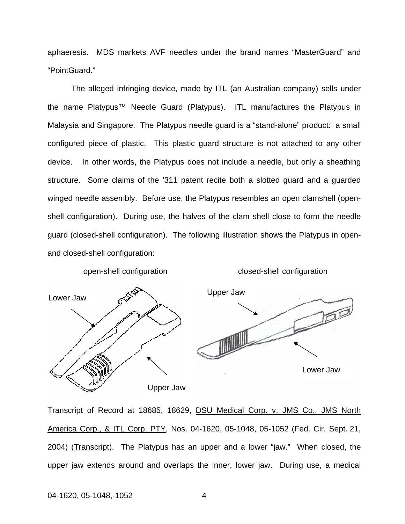aphaeresis. MDS markets AVF needles under the brand names "MasterGuard" and "PointGuard."

The alleged infringing device, made by ITL (an Australian company) sells under the name Platypus™ Needle Guard (Platypus). ITL manufactures the Platypus in Malaysia and Singapore. The Platypus needle guard is a "stand-alone" product: a small configured piece of plastic. This plastic guard structure is not attached to any other device. In other words, the Platypus does not include a needle, but only a sheathing structure. Some claims of the '311 patent recite both a slotted guard and a guarded winged needle assembly. Before use, the Platypus resembles an open clamshell (openshell configuration). During use, the halves of the clam shell close to form the needle guard (closed-shell configuration). The following illustration shows the Platypus in openand closed-shell configuration:

open-shell configuration closed-shell configuration



Transcript of Record at 18685, 18629, DSU Medical Corp. v. JMS Co., JMS North America Corp., & ITL Corp. PTY, Nos. 04-1620, 05-1048, 05-1052 (Fed. Cir. Sept. 21, 2004) (Transcript). The Platypus has an upper and a lower "jaw." When closed, the upper jaw extends around and overlaps the inner, lower jaw. During use, a medical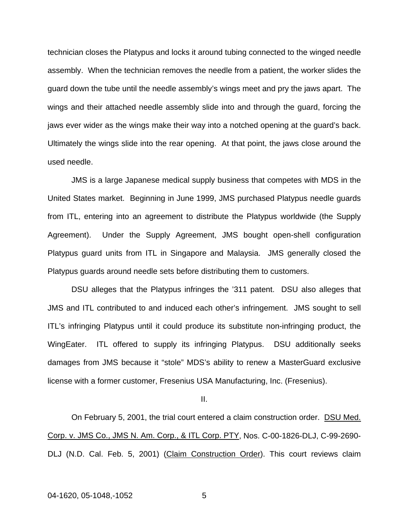technician closes the Platypus and locks it around tubing connected to the winged needle assembly. When the technician removes the needle from a patient, the worker slides the guard down the tube until the needle assembly's wings meet and pry the jaws apart. The wings and their attached needle assembly slide into and through the guard, forcing the jaws ever wider as the wings make their way into a notched opening at the guard's back. Ultimately the wings slide into the rear opening. At that point, the jaws close around the used needle.

JMS is a large Japanese medical supply business that competes with MDS in the United States market. Beginning in June 1999, JMS purchased Platypus needle guards from ITL, entering into an agreement to distribute the Platypus worldwide (the Supply Agreement). Under the Supply Agreement, JMS bought open-shell configuration Platypus guard units from ITL in Singapore and Malaysia. JMS generally closed the Platypus guards around needle sets before distributing them to customers.

DSU alleges that the Platypus infringes the '311 patent. DSU also alleges that JMS and ITL contributed to and induced each other's infringement. JMS sought to sell ITL's infringing Platypus until it could produce its substitute non-infringing product, the WingEater. ITL offered to supply its infringing Platypus. DSU additionally seeks damages from JMS because it "stole" MDS's ability to renew a MasterGuard exclusive license with a former customer, Fresenius USA Manufacturing, Inc. (Fresenius).

II.

On February 5, 2001, the trial court entered a claim construction order. DSU Med. Corp. v. JMS Co., JMS N. Am. Corp., & ITL Corp. PTY, Nos. C-00-1826-DLJ, C-99-2690- DLJ (N.D. Cal. Feb. 5, 2001) (Claim Construction Order). This court reviews claim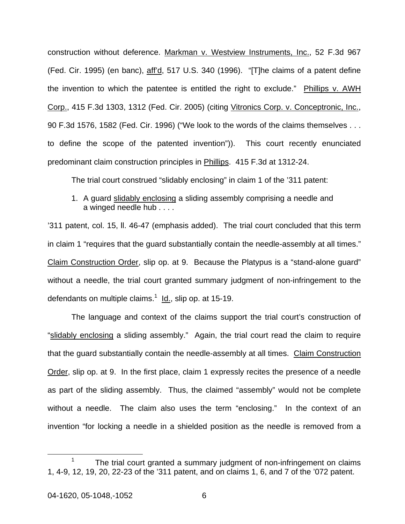construction without deference. Markman v. Westview Instruments, Inc., 52 F.3d 967 (Fed. Cir. 1995) (en banc), aff'd, 517 U.S. 340 (1996). "[T]he claims of a patent define the invention to which the patentee is entitled the right to exclude." Phillips v. AWH Corp., 415 F.3d 1303, 1312 (Fed. Cir. 2005) (citing Vitronics Corp. v. Conceptronic, Inc., 90 F.3d 1576, 1582 (Fed. Cir. 1996) ("We look to the words of the claims themselves . . . to define the scope of the patented invention")). This court recently enunciated predominant claim construction principles in Phillips. 415 F.3d at 1312-24.

The trial court construed "slidably enclosing" in claim 1 of the '311 patent:

1. A guard slidably enclosing a sliding assembly comprising a needle and a winged needle hub . . . .

'311 patent, col. 15, ll. 46-47 (emphasis added). The trial court concluded that this term in claim 1 "requires that the guard substantially contain the needle-assembly at all times." Claim Construction Order, slip op. at 9. Because the Platypus is a "stand-alone guard" without a needle, the trial court granted summary judgment of non-infringement to the defendants on multiple claims.<sup>[1](#page-7-0)</sup> ld., slip op. at 15-19.

The language and context of the claims support the trial court's construction of "slidably enclosing a sliding assembly." Again, the trial court read the claim to require that the guard substantially contain the needle-assembly at all times. Claim Construction Order, slip op. at 9. In the first place, claim 1 expressly recites the presence of a needle as part of the sliding assembly. Thus, the claimed "assembly" would not be complete without a needle. The claim also uses the term "enclosing." In the context of an invention "for locking a needle in a shielded position as the needle is removed from a

<span id="page-7-0"></span>The trial court granted a summary judgment of non-infringement on claims 1, 4-9, 12, 19, 20, 22-23 of the '311 patent, and on claims 1, 6, and 7 of the '072 patent.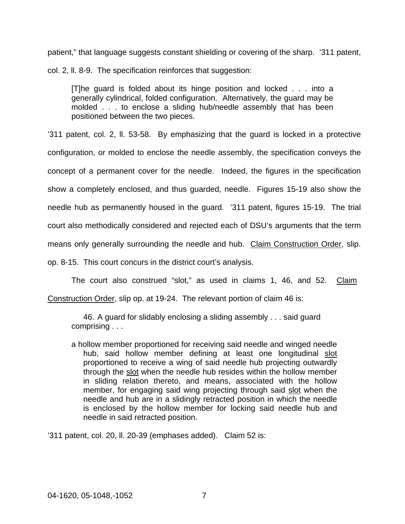patient," that language suggests constant shielding or covering of the sharp. '311 patent, col. 2, ll. 8-9. The specification reinforces that suggestion:

[T]he guard is folded about its hinge position and locked . . . into a generally cylindrical, folded configuration. Alternatively, the guard may be molded . . . to enclose a sliding hub/needle assembly that has been positioned between the two pieces.

'311 patent, col. 2, ll. 53-58. By emphasizing that the guard is locked in a protective configuration, or molded to enclose the needle assembly, the specification conveys the concept of a permanent cover for the needle. Indeed, the figures in the specification show a completely enclosed, and thus guarded, needle. Figures 15-19 also show the needle hub as permanently housed in the guard. '311 patent, figures 15-19. The trial court also methodically considered and rejected each of DSU's arguments that the term means only generally surrounding the needle and hub. Claim Construction Order, slip. op. 8-15. This court concurs in the district court's analysis.

The court also construed "slot," as used in claims 1, 46, and 52. Claim

Construction Order, slip op. at 19-24. The relevant portion of claim 46 is:

46. A guard for slidably enclosing a sliding assembly . . . said guard comprising . . .

a hollow member proportioned for receiving said needle and winged needle hub, said hollow member defining at least one longitudinal slot proportioned to receive a wing of said needle hub projecting outwardly through the slot when the needle hub resides within the hollow member in sliding relation thereto, and means, associated with the hollow member, for engaging said wing projecting through said slot when the needle and hub are in a slidingly retracted position in which the needle is enclosed by the hollow member for locking said needle hub and needle in said retracted position.

'311 patent, col. 20, ll. 20-39 (emphases added). Claim 52 is: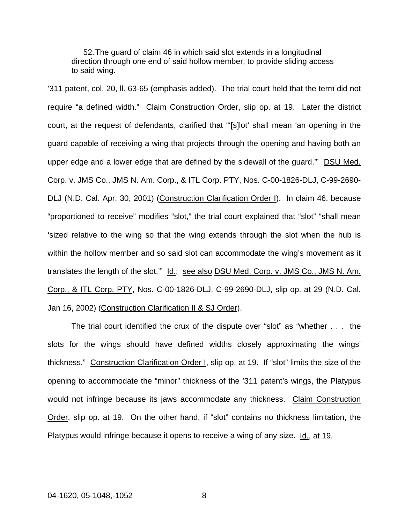52. The guard of claim 46 in which said slot extends in a longitudinal direction through one end of said hollow member, to provide sliding access to said wing.

'311 patent, col. 20, ll. 63-65 (emphasis added). The trial court held that the term did not require "a defined width." Claim Construction Order, slip op. at 19. Later the district court, at the request of defendants, clarified that "'[s]lot' shall mean 'an opening in the guard capable of receiving a wing that projects through the opening and having both an upper edge and a lower edge that are defined by the sidewall of the guard.'" DSU Med. Corp. v. JMS Co., JMS N. Am. Corp., & ITL Corp. PTY, Nos. C-00-1826-DLJ, C-99-2690- DLJ (N.D. Cal. Apr. 30, 2001) (Construction Clarification Order I). In claim 46, because "proportioned to receive" modifies "slot," the trial court explained that "slot" "shall mean 'sized relative to the wing so that the wing extends through the slot when the hub is within the hollow member and so said slot can accommodate the wing's movement as it translates the length of the slot.'" Id.; see also DSU Med. Corp. v. JMS Co., JMS N. Am. Corp., & ITL Corp. PTY, Nos. C-00-1826-DLJ, C-99-2690-DLJ, slip op. at 29 (N.D. Cal. Jan 16, 2002) (Construction Clarification II & SJ Order).

The trial court identified the crux of the dispute over "slot" as "whether . . . the slots for the wings should have defined widths closely approximating the wings' thickness." Construction Clarification Order I, slip op. at 19. If "slot" limits the size of the opening to accommodate the "minor" thickness of the '311 patent's wings, the Platypus would not infringe because its jaws accommodate any thickness. Claim Construction Order, slip op. at 19. On the other hand, if "slot" contains no thickness limitation, the Platypus would infringe because it opens to receive a wing of any size. Id., at 19.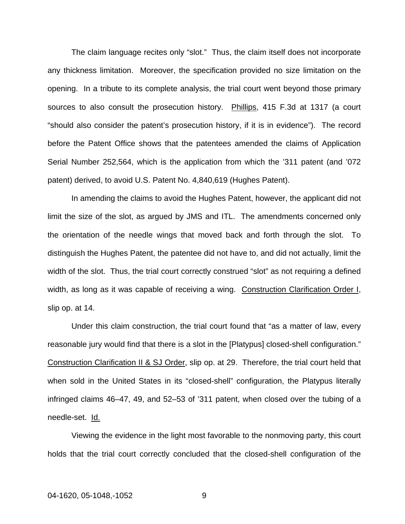The claim language recites only "slot." Thus, the claim itself does not incorporate any thickness limitation. Moreover, the specification provided no size limitation on the opening. In a tribute to its complete analysis, the trial court went beyond those primary sources to also consult the prosecution history. Phillips, 415 F.3d at 1317 (a court "should also consider the patent's prosecution history, if it is in evidence"). The record before the Patent Office shows that the patentees amended the claims of Application Serial Number 252,564, which is the application from which the '311 patent (and '072 patent) derived, to avoid U.S. Patent No. 4,840,619 (Hughes Patent).

In amending the claims to avoid the Hughes Patent, however, the applicant did not limit the size of the slot, as argued by JMS and ITL. The amendments concerned only the orientation of the needle wings that moved back and forth through the slot. To distinguish the Hughes Patent, the patentee did not have to, and did not actually, limit the width of the slot. Thus, the trial court correctly construed "slot" as not requiring a defined width, as long as it was capable of receiving a wing. Construction Clarification Order I, slip op. at 14.

Under this claim construction, the trial court found that "as a matter of law, every reasonable jury would find that there is a slot in the [Platypus] closed-shell configuration." Construction Clarification II & SJ Order, slip op. at 29. Therefore, the trial court held that when sold in the United States in its "closed-shell" configuration, the Platypus literally infringed claims 46–47, 49, and 52–53 of '311 patent, when closed over the tubing of a needle-set. Id.

Viewing the evidence in the light most favorable to the nonmoving party, this court holds that the trial court correctly concluded that the closed-shell configuration of the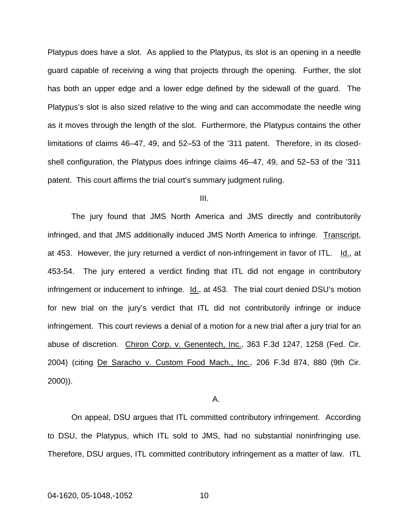Platypus does have a slot. As applied to the Platypus, its slot is an opening in a needle guard capable of receiving a wing that projects through the opening. Further, the slot has both an upper edge and a lower edge defined by the sidewall of the guard. The Platypus's slot is also sized relative to the wing and can accommodate the needle wing as it moves through the length of the slot. Furthermore, the Platypus contains the other limitations of claims 46–47, 49, and 52–53 of the '311 patent. Therefore, in its closedshell configuration, the Platypus does infringe claims 46–47, 49, and 52–53 of the '311 patent. This court affirms the trial court's summary judgment ruling.

#### III.

The jury found that JMS North America and JMS directly and contributorily infringed, and that JMS additionally induced JMS North America to infringe. Transcript, at 453. However, the jury returned a verdict of non-infringement in favor of ITL. Id., at 453-54. The jury entered a verdict finding that ITL did not engage in contributory infringement or inducement to infringe.  $\underline{Id}$ , at 453. The trial court denied DSU's motion for new trial on the jury's verdict that ITL did not contributorily infringe or induce infringement. This court reviews a denial of a motion for a new trial after a jury trial for an abuse of discretion. Chiron Corp. v. Genentech, Inc., 363 F.3d 1247, 1258 (Fed. Cir. 2004) (citing De Saracho v. Custom Food Mach., Inc., 206 F.3d 874, 880 (9th Cir. 2000)).

#### A.

On appeal, DSU argues that ITL committed contributory infringement. According to DSU, the Platypus, which ITL sold to JMS, had no substantial noninfringing use. Therefore, DSU argues, ITL committed contributory infringement as a matter of law. ITL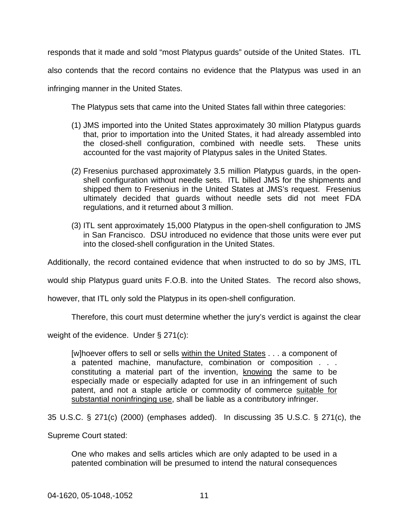responds that it made and sold "most Platypus guards" outside of the United States. ITL

also contends that the record contains no evidence that the Platypus was used in an

infringing manner in the United States.

The Platypus sets that came into the United States fall within three categories:

- (1) JMS imported into the United States approximately 30 million Platypus guards that, prior to importation into the United States, it had already assembled into the closed-shell configuration, combined with needle sets. These units accounted for the vast majority of Platypus sales in the United States.
- (2) Fresenius purchased approximately 3.5 million Platypus guards, in the openshell configuration without needle sets. ITL billed JMS for the shipments and shipped them to Fresenius in the United States at JMS's request. Fresenius ultimately decided that guards without needle sets did not meet FDA regulations, and it returned about 3 million.
- (3) ITL sent approximately 15,000 Platypus in the open-shell configuration to JMS in San Francisco. DSU introduced no evidence that those units were ever put into the closed-shell configuration in the United States.

Additionally, the record contained evidence that when instructed to do so by JMS, ITL

would ship Platypus guard units F.O.B. into the United States. The record also shows,

however, that ITL only sold the Platypus in its open-shell configuration.

Therefore, this court must determine whether the jury's verdict is against the clear

weight of the evidence. Under § 271(c):

[w]hoever offers to sell or sells within the United States . . . a component of a patented machine, manufacture, combination or composition . . . constituting a material part of the invention, knowing the same to be especially made or especially adapted for use in an infringement of such patent, and not a staple article or commodity of commerce suitable for substantial noninfringing use, shall be liable as a contributory infringer.

35 U.S.C. § 271(c) (2000) (emphases added). In discussing 35 U.S.C. § 271(c), the

Supreme Court stated:

One who makes and sells articles which are only adapted to be used in a patented combination will be presumed to intend the natural consequences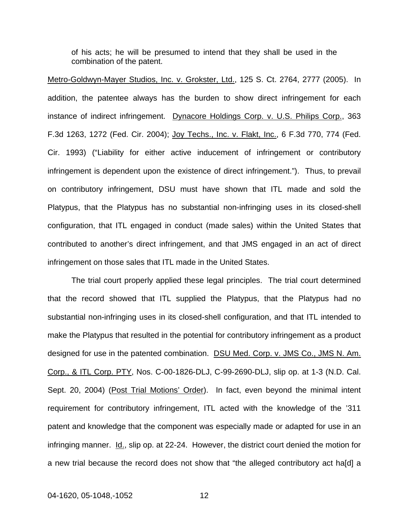of his acts; he will be presumed to intend that they shall be used in the combination of the patent.

Metro-Goldwyn-Mayer Studios, Inc. v. Grokster, Ltd., 125 S. Ct. 2764, 2777 (2005). In addition, the patentee always has the burden to show direct infringement for each instance of indirect infringement. Dynacore Holdings Corp. v. U.S. Philips Corp., 363 F.3d 1263, 1272 (Fed. Cir. 2004); Joy Techs., Inc. v. Flakt, Inc., 6 F.3d 770, 774 (Fed. Cir. 1993) ("Liability for either active inducement of infringement or contributory infringement is dependent upon the existence of direct infringement."). Thus, to prevail on contributory infringement, DSU must have shown that ITL made and sold the Platypus, that the Platypus has no substantial non-infringing uses in its closed-shell configuration, that ITL engaged in conduct (made sales) within the United States that contributed to another's direct infringement, and that JMS engaged in an act of direct infringement on those sales that ITL made in the United States.

The trial court properly applied these legal principles. The trial court determined that the record showed that ITL supplied the Platypus, that the Platypus had no substantial non-infringing uses in its closed-shell configuration, and that ITL intended to make the Platypus that resulted in the potential for contributory infringement as a product designed for use in the patented combination. DSU Med. Corp. v. JMS Co., JMS N. Am. Corp., & ITL Corp. PTY, Nos. C-00-1826-DLJ, C-99-2690-DLJ, slip op. at 1-3 (N.D. Cal. Sept. 20, 2004) (Post Trial Motions' Order). In fact, even beyond the minimal intent requirement for contributory infringement, ITL acted with the knowledge of the '311 patent and knowledge that the component was especially made or adapted for use in an infringing manner. Id., slip op. at 22-24. However, the district court denied the motion for a new trial because the record does not show that "the alleged contributory act ha[d] a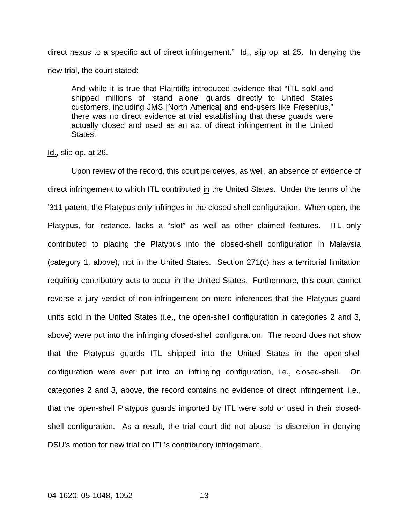direct nexus to a specific act of direct infringement." Id., slip op. at 25. In denying the new trial, the court stated:

And while it is true that Plaintiffs introduced evidence that "ITL sold and shipped millions of 'stand alone' guards directly to United States customers, including JMS [North America] and end-users like Fresenius," there was no direct evidence at trial establishing that these guards were actually closed and used as an act of direct infringement in the United States.

#### Id., slip op. at 26.

Upon review of the record, this court perceives, as well, an absence of evidence of direct infringement to which ITL contributed in the United States. Under the terms of the '311 patent, the Platypus only infringes in the closed-shell configuration. When open, the Platypus, for instance, lacks a "slot" as well as other claimed features. ITL only contributed to placing the Platypus into the closed-shell configuration in Malaysia (category 1, above); not in the United States. Section 271(c) has a territorial limitation requiring contributory acts to occur in the United States. Furthermore, this court cannot reverse a jury verdict of non-infringement on mere inferences that the Platypus guard units sold in the United States (i.e., the open-shell configuration in categories 2 and 3, above) were put into the infringing closed-shell configuration. The record does not show that the Platypus guards ITL shipped into the United States in the open-shell configuration were ever put into an infringing configuration, i.e., closed-shell. On categories 2 and 3, above, the record contains no evidence of direct infringement, i.e., that the open-shell Platypus guards imported by ITL were sold or used in their closedshell configuration. As a result, the trial court did not abuse its discretion in denying DSU's motion for new trial on ITL's contributory infringement.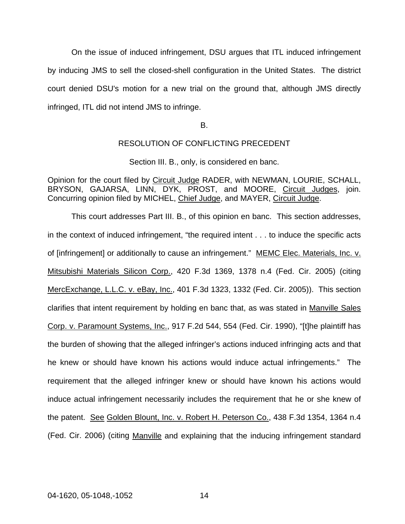On the issue of induced infringement, DSU argues that ITL induced infringement by inducing JMS to sell the closed-shell configuration in the United States. The district court denied DSU's motion for a new trial on the ground that, although JMS directly infringed, ITL did not intend JMS to infringe.

B.

### RESOLUTION OF CONFLICTING PRECEDENT

Section III. B., only, is considered en banc.

Opinion for the court filed by Circuit Judge RADER, with NEWMAN, LOURIE, SCHALL, BRYSON, GAJARSA, LINN, DYK, PROST, and MOORE, Circuit Judges, join. Concurring opinion filed by MICHEL, Chief Judge, and MAYER, Circuit Judge.

This court addresses Part III. B., of this opinion en banc. This section addresses, in the context of induced infringement, "the required intent . . . to induce the specific acts of [infringement] or additionally to cause an infringement." MEMC Elec. Materials, Inc. v. Mitsubishi Materials Silicon Corp., 420 F.3d 1369, 1378 n.4 (Fed. Cir. 2005) (citing MercExchange, L.L.C. v. eBay, Inc., 401 F.3d 1323, 1332 (Fed. Cir. 2005)). This section clarifies that intent requirement by holding en banc that, as was stated in Manville Sales Corp. v. Paramount Systems, Inc., 917 F.2d 544, 554 (Fed. Cir. 1990), "[t]he plaintiff has the burden of showing that the alleged infringer's actions induced infringing acts and that he knew or should have known his actions would induce actual infringements." The requirement that the alleged infringer knew or should have known his actions would induce actual infringement necessarily includes the requirement that he or she knew of the patent. See Golden Blount, Inc. v. Robert H. Peterson Co., 438 F.3d 1354, 1364 n.4 (Fed. Cir. 2006) (citing Manville and explaining that the inducing infringement standard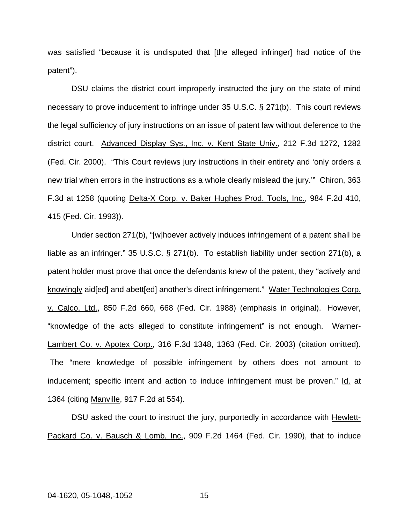was satisfied "because it is undisputed that [the alleged infringer] had notice of the patent").

DSU claims the district court improperly instructed the jury on the state of mind necessary to prove inducement to infringe under 35 U.S.C. § 271(b). This court reviews the legal sufficiency of jury instructions on an issue of patent law without deference to the district court. Advanced Display Sys., Inc. v. Kent State Univ., 212 F.3d 1272, 1282 (Fed. Cir. 2000). "This Court reviews jury instructions in their entirety and 'only orders a new trial when errors in the instructions as a whole clearly mislead the jury.'" Chiron, 363 F.3d at 1258 (quoting Delta-X Corp. v. Baker Hughes Prod. Tools, Inc., 984 F.2d 410, 415 (Fed. Cir. 1993)).

Under section 271(b), "[w]hoever actively induces infringement of a patent shall be liable as an infringer." 35 U.S.C. § 271(b). To establish liability under section 271(b), a patent holder must prove that once the defendants knew of the patent, they "actively and knowingly aid[ed] and abett[ed] another's direct infringement." Water Technologies Corp. v. Calco, Ltd., 850 F.2d 660, 668 (Fed. Cir. 1988) (emphasis in original). However, "knowledge of the acts alleged to constitute infringement" is not enough. Warner-Lambert Co. v. Apotex Corp., 316 F.3d 1348, 1363 (Fed. Cir. 2003) (citation omitted). The "mere knowledge of possible infringement by others does not amount to inducement; specific intent and action to induce infringement must be proven." Id. at 1364 (citing Manville, 917 F.2d at 554).

DSU asked the court to instruct the jury, purportedly in accordance with **Hewlett-**Packard Co. v. Bausch & Lomb, Inc., 909 F.2d 1464 (Fed. Cir. 1990), that to induce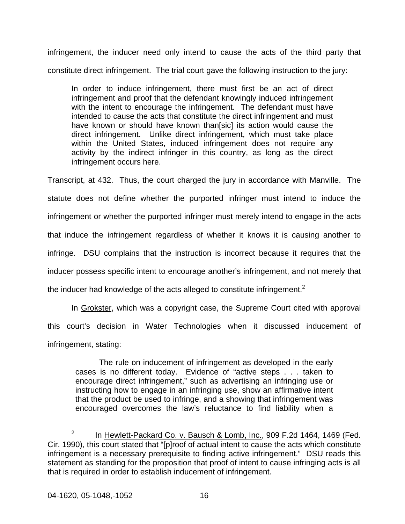infringement, the inducer need only intend to cause the acts of the third party that constitute direct infringement. The trial court gave the following instruction to the jury:

In order to induce infringement, there must first be an act of direct infringement and proof that the defendant knowingly induced infringement with the intent to encourage the infringement. The defendant must have intended to cause the acts that constitute the direct infringement and must have known or should have known than[sic] its action would cause the direct infringement. Unlike direct infringement, which must take place within the United States, induced infringement does not require any activity by the indirect infringer in this country, as long as the direct infringement occurs here.

Transcript, at 432. Thus, the court charged the jury in accordance with Manville. The statute does not define whether the purported infringer must intend to induce the infringement or whether the purported infringer must merely intend to engage in the acts that induce the infringement regardless of whether it knows it is causing another to infringe. DSU complains that the instruction is incorrect because it requires that the inducer possess specific intent to encourage another's infringement, and not merely that the inducer had knowledge of the acts alleged to constitute infringement.<sup>2</sup>

In Grokster, which was a copyright case, the Supreme Court cited with approval this court's decision in Water Technologies when it discussed inducement of infringement, stating:

The rule on inducement of infringement as developed in the early cases is no different today. Evidence of "active steps . . . taken to encourage direct infringement," such as advertising an infringing use or instructing how to engage in an infringing use, show an affirmative intent that the product be used to infringe, and a showing that infringement was encouraged overcomes the law's reluctance to find liability when a

<span id="page-17-0"></span> $\frac{1}{2}$ <sup>2</sup> In Hewlett-Packard Co. v. Bausch & Lomb, Inc., 909 F.2d 1464, 1469 (Fed. Cir. 1990), this court stated that "[p]roof of actual intent to cause the acts which constitute infringement is a necessary prerequisite to finding active infringement." DSU reads this statement as standing for the proposition that proof of intent to cause infringing acts is all that is required in order to establish inducement of infringement.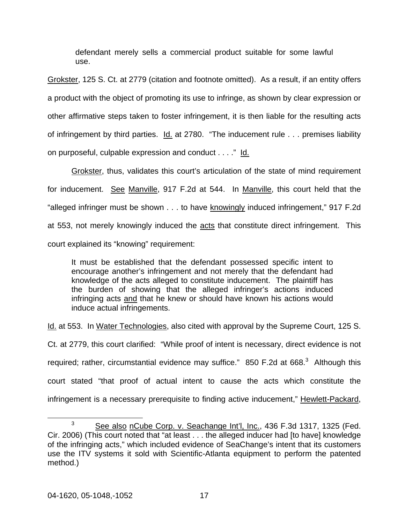defendant merely sells a commercial product suitable for some lawful use.

Grokster, 125 S. Ct. at 2779 (citation and footnote omitted). As a result, if an entity offers a product with the object of promoting its use to infringe, as shown by clear expression or other affirmative steps taken to foster infringement, it is then liable for the resulting acts of infringement by third parties. Id. at 2780. "The inducement rule . . . premises liability on purposeful, culpable expression and conduct . . . ." Id.

Grokster, thus, validates this court's articulation of the state of mind requirement for inducement. See Manville, 917 F.2d at 544. In Manville, this court held that the "alleged infringer must be shown . . . to have knowingly induced infringement," 917 F.2d at 553, not merely knowingly induced the acts that constitute direct infringement. This court explained its "knowing" requirement:

It must be established that the defendant possessed specific intent to encourage another's infringement and not merely that the defendant had knowledge of the acts alleged to constitute inducement. The plaintiff has the burden of showing that the alleged infringer's actions induced infringing acts and that he knew or should have known his actions would induce actual infringements.

Id. at 553. In Water Technologies, also cited with approval by the Supreme Court, 125 S. Ct. at 2779, this court clarified: "While proof of intent is necessary, direct evidence is not required; rather, circumstantial evidence may suffice." 850 F.2d at 668. $3$  Although this court stated "that proof of actual intent to cause the acts which constitute the infringement is a necessary prerequisite to finding active inducement," Hewlett-Packard,

<span id="page-18-0"></span> $\frac{1}{3}$  $3$  See also nCube Corp. v. Seachange Int'l, Inc., 436 F.3d 1317, 1325 (Fed. Cir. 2006) (This court noted that "at least . . . the alleged inducer had [to have] knowledge of the infringing acts," which included evidence of SeaChange's intent that its customers use the ITV systems it sold with Scientific-Atlanta equipment to perform the patented method.)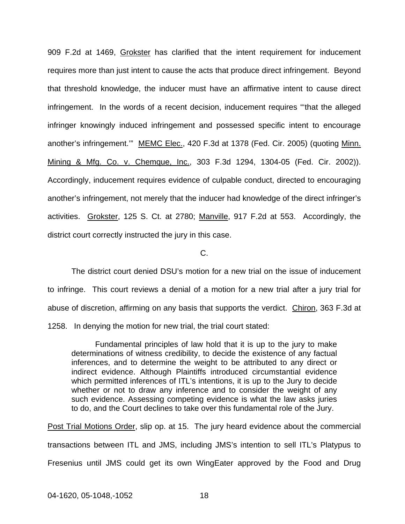909 F.2d at 1469, Grokster has clarified that the intent requirement for inducement requires more than just intent to cause the acts that produce direct infringement. Beyond that threshold knowledge, the inducer must have an affirmative intent to cause direct infringement. In the words of a recent decision, inducement requires "'that the alleged infringer knowingly induced infringement and possessed specific intent to encourage another's infringement." MEMC Elec., 420 F.3d at 1378 (Fed. Cir. 2005) (quoting Minn. Mining & Mfg. Co. v. Chemque, Inc., 303 F.3d 1294, 1304-05 (Fed. Cir. 2002)). Accordingly, inducement requires evidence of culpable conduct, directed to encouraging another's infringement, not merely that the inducer had knowledge of the direct infringer's activities. Grokster, 125 S. Ct. at 2780; Manville, 917 F.2d at 553. Accordingly, the district court correctly instructed the jury in this case.

C.

The district court denied DSU's motion for a new trial on the issue of inducement to infringe. This court reviews a denial of a motion for a new trial after a jury trial for abuse of discretion, affirming on any basis that supports the verdict. Chiron, 363 F.3d at 1258. In denying the motion for new trial, the trial court stated:

Fundamental principles of law hold that it is up to the jury to make determinations of witness credibility, to decide the existence of any factual inferences, and to determine the weight to be attributed to any direct or indirect evidence. Although Plaintiffs introduced circumstantial evidence which permitted inferences of ITL's intentions, it is up to the Jury to decide whether or not to draw any inference and to consider the weight of any such evidence. Assessing competing evidence is what the law asks juries to do, and the Court declines to take over this fundamental role of the Jury.

Post Trial Motions Order, slip op. at 15. The jury heard evidence about the commercial transactions between ITL and JMS, including JMS's intention to sell ITL's Platypus to Fresenius until JMS could get its own WingEater approved by the Food and Drug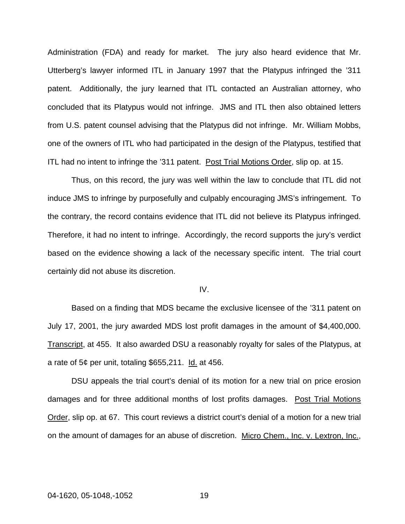Administration (FDA) and ready for market. The jury also heard evidence that Mr. Utterberg's lawyer informed ITL in January 1997 that the Platypus infringed the '311 patent. Additionally, the jury learned that ITL contacted an Australian attorney, who concluded that its Platypus would not infringe. JMS and ITL then also obtained letters from U.S. patent counsel advising that the Platypus did not infringe. Mr. William Mobbs, one of the owners of ITL who had participated in the design of the Platypus, testified that ITL had no intent to infringe the '311 patent. Post Trial Motions Order, slip op. at 15.

Thus, on this record, the jury was well within the law to conclude that ITL did not induce JMS to infringe by purposefully and culpably encouraging JMS's infringement. To the contrary, the record contains evidence that ITL did not believe its Platypus infringed. Therefore, it had no intent to infringe. Accordingly, the record supports the jury's verdict based on the evidence showing a lack of the necessary specific intent. The trial court certainly did not abuse its discretion.

#### IV.

Based on a finding that MDS became the exclusive licensee of the '311 patent on July 17, 2001, the jury awarded MDS lost profit damages in the amount of \$4,400,000. Transcript, at 455. It also awarded DSU a reasonably royalty for sales of the Platypus, at a rate of 5¢ per unit, totaling \$655,211. Id. at 456.

DSU appeals the trial court's denial of its motion for a new trial on price erosion damages and for three additional months of lost profits damages. Post Trial Motions Order, slip op. at 67. This court reviews a district court's denial of a motion for a new trial on the amount of damages for an abuse of discretion. Micro Chem., Inc. v. Lextron, Inc.,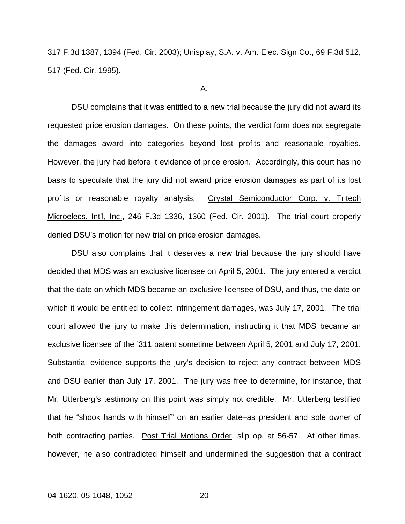317 F.3d 1387, 1394 (Fed. Cir. 2003); Unisplay, S.A. v. Am. Elec. Sign Co., 69 F.3d 512, 517 (Fed. Cir. 1995).

#### A.

DSU complains that it was entitled to a new trial because the jury did not award its requested price erosion damages. On these points, the verdict form does not segregate the damages award into categories beyond lost profits and reasonable royalties. However, the jury had before it evidence of price erosion. Accordingly, this court has no basis to speculate that the jury did not award price erosion damages as part of its lost profits or reasonable royalty analysis. Crystal Semiconductor Corp. v. Tritech Microelecs. Int'l, Inc., 246 F.3d 1336, 1360 (Fed. Cir. 2001). The trial court properly denied DSU's motion for new trial on price erosion damages.

DSU also complains that it deserves a new trial because the jury should have decided that MDS was an exclusive licensee on April 5, 2001. The jury entered a verdict that the date on which MDS became an exclusive licensee of DSU, and thus, the date on which it would be entitled to collect infringement damages, was July 17, 2001. The trial court allowed the jury to make this determination, instructing it that MDS became an exclusive licensee of the '311 patent sometime between April 5, 2001 and July 17, 2001. Substantial evidence supports the jury's decision to reject any contract between MDS and DSU earlier than July 17, 2001. The jury was free to determine, for instance, that Mr. Utterberg's testimony on this point was simply not credible. Mr. Utterberg testified that he "shook hands with himself" on an earlier date–as president and sole owner of both contracting parties. Post Trial Motions Order, slip op. at 56-57. At other times, however, he also contradicted himself and undermined the suggestion that a contract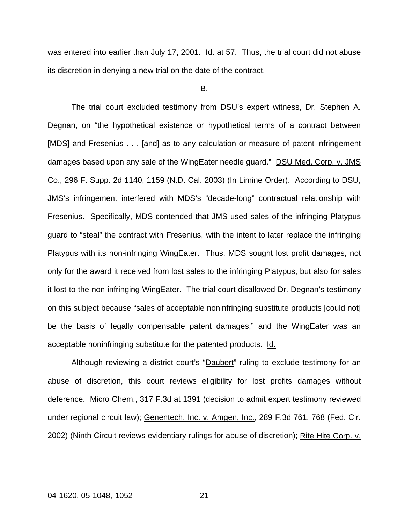was entered into earlier than July 17, 2001. Id. at 57. Thus, the trial court did not abuse its discretion in denying a new trial on the date of the contract.

#### B.

The trial court excluded testimony from DSU's expert witness, Dr. Stephen A. Degnan, on "the hypothetical existence or hypothetical terms of a contract between [MDS] and Fresenius . . . [and] as to any calculation or measure of patent infringement damages based upon any sale of the WingEater needle guard." DSU Med. Corp. v. JMS Co., 296 F. Supp. 2d 1140, 1159 (N.D. Cal. 2003) (In Limine Order). According to DSU, JMS's infringement interfered with MDS's "decade-long" contractual relationship with Fresenius. Specifically, MDS contended that JMS used sales of the infringing Platypus guard to "steal" the contract with Fresenius, with the intent to later replace the infringing Platypus with its non-infringing WingEater. Thus, MDS sought lost profit damages, not only for the award it received from lost sales to the infringing Platypus, but also for sales it lost to the non-infringing WingEater. The trial court disallowed Dr. Degnan's testimony on this subject because "sales of acceptable noninfringing substitute products [could not] be the basis of legally compensable patent damages," and the WingEater was an acceptable noninfringing substitute for the patented products. Id.

Although reviewing a district court's "Daubert" ruling to exclude testimony for an abuse of discretion, this court reviews eligibility for lost profits damages without deference. Micro Chem., 317 F.3d at 1391 (decision to admit expert testimony reviewed under regional circuit law); Genentech, Inc. v. Amgen, Inc., 289 F.3d 761, 768 (Fed. Cir. 2002) (Ninth Circuit reviews evidentiary rulings for abuse of discretion); Rite Hite Corp. v.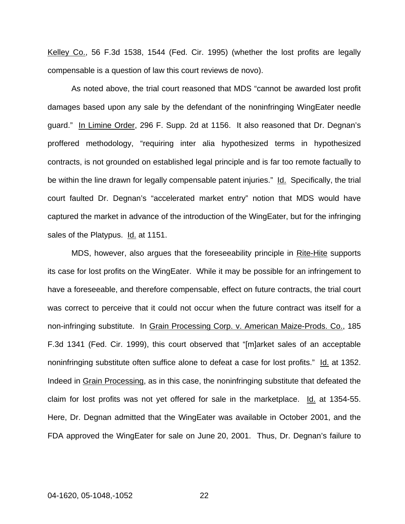Kelley Co., 56 F.3d 1538, 1544 (Fed. Cir. 1995) (whether the lost profits are legally compensable is a question of law this court reviews de novo).

As noted above, the trial court reasoned that MDS "cannot be awarded lost profit damages based upon any sale by the defendant of the noninfringing WingEater needle guard." In Limine Order, 296 F. Supp. 2d at 1156. It also reasoned that Dr. Degnan's proffered methodology, "requiring inter alia hypothesized terms in hypothesized contracts, is not grounded on established legal principle and is far too remote factually to be within the line drawn for legally compensable patent injuries." Id. Specifically, the trial court faulted Dr. Degnan's "accelerated market entry" notion that MDS would have captured the market in advance of the introduction of the WingEater, but for the infringing sales of the Platypus. Id. at 1151.

MDS, however, also argues that the foreseeability principle in Rite-Hite supports its case for lost profits on the WingEater. While it may be possible for an infringement to have a foreseeable, and therefore compensable, effect on future contracts, the trial court was correct to perceive that it could not occur when the future contract was itself for a non-infringing substitute. In Grain Processing Corp. v. American Maize-Prods. Co., 185 F.3d 1341 (Fed. Cir. 1999), this court observed that "[m]arket sales of an acceptable noninfringing substitute often suffice alone to defeat a case for lost profits." Id. at 1352. Indeed in Grain Processing, as in this case, the noninfringing substitute that defeated the claim for lost profits was not yet offered for sale in the marketplace. Id. at 1354-55. Here, Dr. Degnan admitted that the WingEater was available in October 2001, and the FDA approved the WingEater for sale on June 20, 2001. Thus, Dr. Degnan's failure to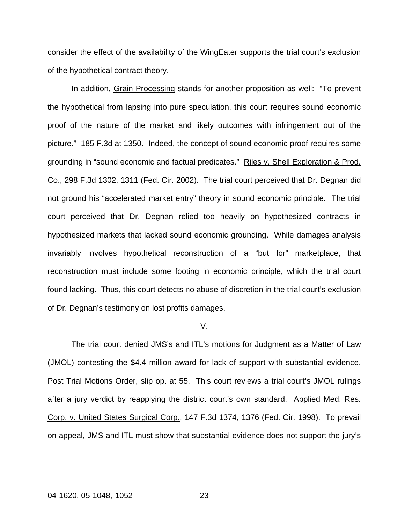consider the effect of the availability of the WingEater supports the trial court's exclusion of the hypothetical contract theory.

In addition, Grain Processing stands for another proposition as well: "To prevent the hypothetical from lapsing into pure speculation, this court requires sound economic proof of the nature of the market and likely outcomes with infringement out of the picture." 185 F.3d at 1350. Indeed, the concept of sound economic proof requires some grounding in "sound economic and factual predicates." Riles v. Shell Exploration & Prod. Co., 298 F.3d 1302, 1311 (Fed. Cir. 2002). The trial court perceived that Dr. Degnan did not ground his "accelerated market entry" theory in sound economic principle. The trial court perceived that Dr. Degnan relied too heavily on hypothesized contracts in hypothesized markets that lacked sound economic grounding. While damages analysis invariably involves hypothetical reconstruction of a "but for" marketplace, that reconstruction must include some footing in economic principle, which the trial court found lacking. Thus, this court detects no abuse of discretion in the trial court's exclusion of Dr. Degnan's testimony on lost profits damages.

#### V.

The trial court denied JMS's and ITL's motions for Judgment as a Matter of Law (JMOL) contesting the \$4.4 million award for lack of support with substantial evidence. Post Trial Motions Order, slip op. at 55. This court reviews a trial court's JMOL rulings after a jury verdict by reapplying the district court's own standard. Applied Med. Res. Corp. v. United States Surgical Corp., 147 F.3d 1374, 1376 (Fed. Cir. 1998). To prevail on appeal, JMS and ITL must show that substantial evidence does not support the jury's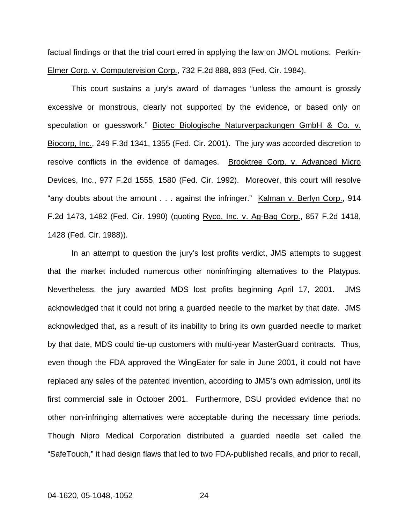factual findings or that the trial court erred in applying the law on JMOL motions. Perkin-Elmer Corp. v. Computervision Corp., 732 F.2d 888, 893 (Fed. Cir. 1984).

This court sustains a jury's award of damages "unless the amount is grossly excessive or monstrous, clearly not supported by the evidence, or based only on speculation or guesswork." Biotec Biologische Naturverpackungen GmbH & Co. v. Biocorp, Inc., 249 F.3d 1341, 1355 (Fed. Cir. 2001). The jury was accorded discretion to resolve conflicts in the evidence of damages. Brooktree Corp. v. Advanced Micro Devices, Inc., 977 F.2d 1555, 1580 (Fed. Cir. 1992). Moreover, this court will resolve "any doubts about the amount . . . against the infringer." Kalman v. Berlyn Corp., 914 F.2d 1473, 1482 (Fed. Cir. 1990) (quoting Ryco, Inc. v. Ag-Bag Corp., 857 F.2d 1418, 1428 (Fed. Cir. 1988)).

In an attempt to question the jury's lost profits verdict, JMS attempts to suggest that the market included numerous other noninfringing alternatives to the Platypus. Nevertheless, the jury awarded MDS lost profits beginning April 17, 2001. JMS acknowledged that it could not bring a guarded needle to the market by that date. JMS acknowledged that, as a result of its inability to bring its own guarded needle to market by that date, MDS could tie-up customers with multi-year MasterGuard contracts. Thus, even though the FDA approved the WingEater for sale in June 2001, it could not have replaced any sales of the patented invention, according to JMS's own admission, until its first commercial sale in October 2001. Furthermore, DSU provided evidence that no other non-infringing alternatives were acceptable during the necessary time periods. Though Nipro Medical Corporation distributed a guarded needle set called the "SafeTouch," it had design flaws that led to two FDA-published recalls, and prior to recall,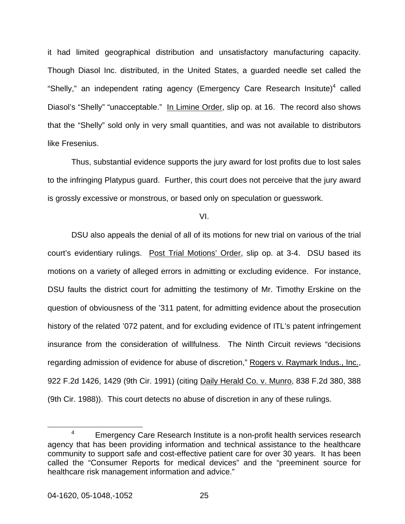it had limited geographical distribution and unsatisfactory manufacturing capacity. Though Diasol Inc. distributed, in the United States, a guarded needle set called the "Shelly," an independent rating agency (Emergency Care Research Insitute)<sup>[4](#page-26-0)</sup> called Diasol's "Shelly" "unacceptable." In Limine Order, slip op. at 16. The record also shows that the "Shelly" sold only in very small quantities, and was not available to distributors like Fresenius.

Thus, substantial evidence supports the jury award for lost profits due to lost sales to the infringing Platypus guard. Further, this court does not perceive that the jury award is grossly excessive or monstrous, or based only on speculation or guesswork.

VI.

DSU also appeals the denial of all of its motions for new trial on various of the trial court's evidentiary rulings. Post Trial Motions' Order, slip op. at 3-4. DSU based its motions on a variety of alleged errors in admitting or excluding evidence. For instance, DSU faults the district court for admitting the testimony of Mr. Timothy Erskine on the question of obviousness of the '311 patent, for admitting evidence about the prosecution history of the related '072 patent, and for excluding evidence of ITL's patent infringement insurance from the consideration of willfulness. The Ninth Circuit reviews "decisions regarding admission of evidence for abuse of discretion," Rogers v. Raymark Indus., Inc., 922 F.2d 1426, 1429 (9th Cir. 1991) (citing Daily Herald Co. v. Munro, 838 F.2d 380, 388 (9th Cir. 1988)). This court detects no abuse of discretion in any of these rulings.

<span id="page-26-0"></span><sup>&</sup>lt;sup>4</sup> Emergency Care Research Institute is a non-profit health services research agency that has been providing information and technical assistance to the healthcare community to support safe and cost-effective patient care for over 30 years. It has been called the "Consumer Reports for medical devices" and the "preeminent source for healthcare risk management information and advice."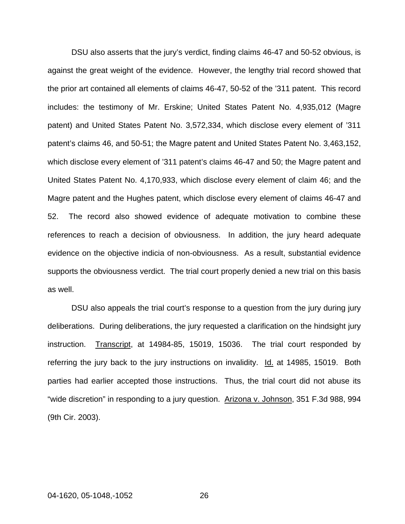DSU also asserts that the jury's verdict, finding claims 46-47 and 50-52 obvious, is against the great weight of the evidence. However, the lengthy trial record showed that the prior art contained all elements of claims 46-47, 50-52 of the '311 patent. This record includes: the testimony of Mr. Erskine; United States Patent No. 4,935,012 (Magre patent) and United States Patent No. 3,572,334, which disclose every element of '311 patent's claims 46, and 50-51; the Magre patent and United States Patent No. 3,463,152, which disclose every element of '311 patent's claims 46-47 and 50; the Magre patent and United States Patent No. 4,170,933, which disclose every element of claim 46; and the Magre patent and the Hughes patent, which disclose every element of claims 46-47 and 52.The record also showed evidence of adequate motivation to combine these references to reach a decision of obviousness. In addition, the jury heard adequate evidence on the objective indicia of non-obviousness. As a result, substantial evidence supports the obviousness verdict. The trial court properly denied a new trial on this basis as well.

DSU also appeals the trial court's response to a question from the jury during jury deliberations. During deliberations, the jury requested a clarification on the hindsight jury instruction. Transcript, at 14984-85, 15019, 15036.The trial court responded by referring the jury back to the jury instructions on invalidity. Id. at 14985, 15019. Both parties had earlier accepted those instructions. Thus, the trial court did not abuse its "wide discretion" in responding to a jury question. Arizona v. Johnson, 351 F.3d 988, 994 (9th Cir. 2003).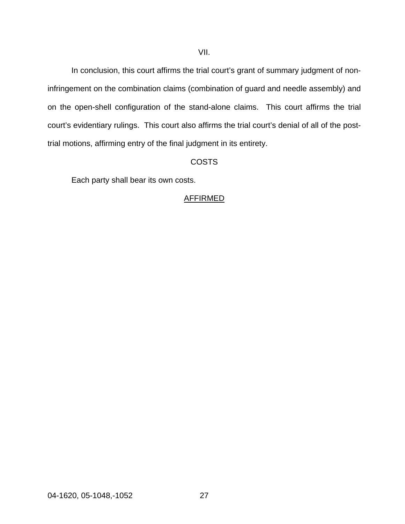In conclusion, this court affirms the trial court's grant of summary judgment of noninfringement on the combination claims (combination of guard and needle assembly) and on the open-shell configuration of the stand-alone claims. This court affirms the trial court's evidentiary rulings. This court also affirms the trial court's denial of all of the posttrial motions, affirming entry of the final judgment in its entirety.

### **COSTS**

Each party shall bear its own costs.

### AFFIRMED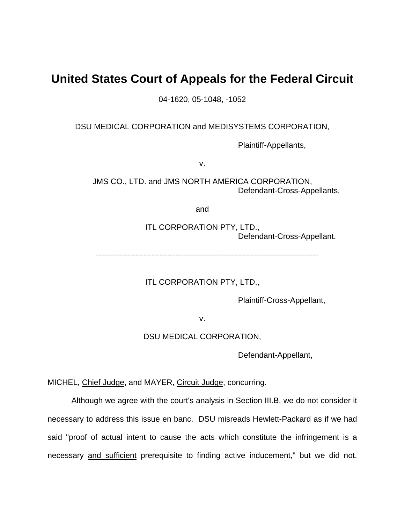## **United States Court of Appeals for the Federal Circuit**

04-1620, 05-1048, -1052

DSU MEDICAL CORPORATION and MEDISYSTEMS CORPORATION,

Plaintiff-Appellants,

v.

JMS CO., LTD. and JMS NORTH AMERICA CORPORATION, Defendant-Cross-Appellants,

and

ITL CORPORATION PTY, LTD., Defendant-Cross-Appellant.

------------------------------------------------------------------------------------

ITL CORPORATION PTY, LTD.,

Plaintiff-Cross-Appellant,

v.

## DSU MEDICAL CORPORATION,

Defendant-Appellant,

MICHEL, Chief Judge, and MAYER, Circuit Judge, concurring.

Although we agree with the court's analysis in Section III.B, we do not consider it necessary to address this issue en banc. DSU misreads Hewlett-Packard as if we had said "proof of actual intent to cause the acts which constitute the infringement is a necessary and sufficient prerequisite to finding active inducement," but we did not.